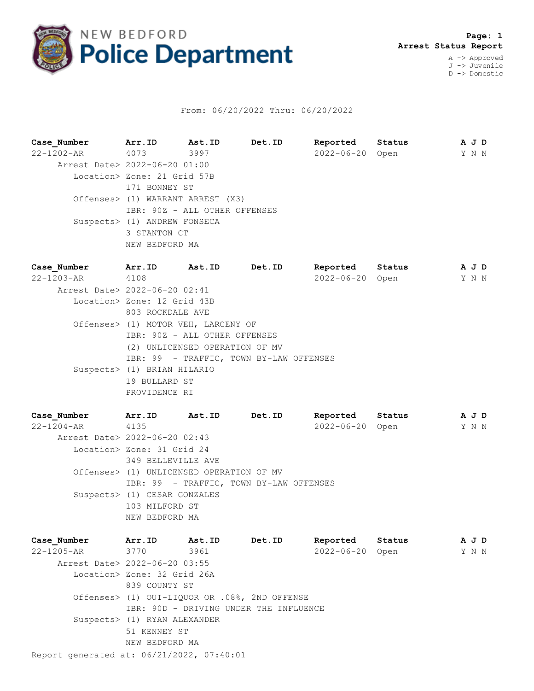

## From: 06/20/2022 Thru: 06/20/2022

**Case\_Number Arr.ID Ast.ID Det.ID Reported Status A J D** 22-1202-AR 4073 3997 2022-06-20 Open Y N N Arrest Date> 2022-06-20 01:00 Location> Zone: 21 Grid 57B 171 BONNEY ST Offenses> (1) WARRANT ARREST (X3) IBR: 90Z - ALL OTHER OFFENSES Suspects> (1) ANDREW FONSECA 3 STANTON CT NEW BEDFORD MA **Case\_Number Arr.ID Ast.ID Det.ID Reported Status A J D** 22-1203-AR 4108 2022-06-20 Open Y N N Arrest Date> 2022-06-20 02:41

 Location> Zone: 12 Grid 43B 803 ROCKDALE AVE Offenses> (1) MOTOR VEH, LARCENY OF IBR: 90Z - ALL OTHER OFFENSES (2) UNLICENSED OPERATION OF MV IBR: 99 - TRAFFIC, TOWN BY-LAW OFFENSES Suspects> (1) BRIAN HILARIO 19 BULLARD ST PROVIDENCE RI

**Case\_Number Arr.ID Ast.ID Det.ID Reported Status A J D** 22-1204-AR 4135 2022-06-20 Open Y N N Arrest Date> 2022-06-20 02:43 Location> Zone: 31 Grid 24 349 BELLEVILLE AVE Offenses> (1) UNLICENSED OPERATION OF MV IBR: 99 - TRAFFIC, TOWN BY-LAW OFFENSES Suspects> (1) CESAR GONZALES 103 MILFORD ST NEW BEDFORD MA

Report generated at: 06/21/2022, 07:40:01 **Case\_Number Arr.ID Ast.ID Det.ID Reported Status A J D** 22-1205-AR 3770 3961 2022-06-20 Open Y N N Arrest Date> 2022-06-20 03:55 Location> Zone: 32 Grid 26A 839 COUNTY ST Offenses> (1) OUI-LIQUOR OR .08%, 2ND OFFENSE IBR: 90D - DRIVING UNDER THE INFLUENCE Suspects> (1) RYAN ALEXANDER 51 KENNEY ST NEW BEDFORD MA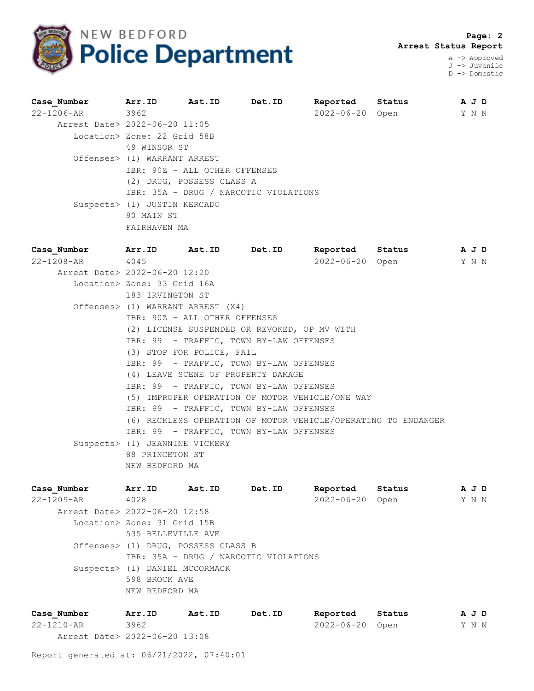

 **Page: 2 Arrest Status Report**

A -> Approved J -> Juvenile D -> Domestic

| Case Number                   | Arr. ID Ast. ID Det. ID       |                           |                                       | Reported Status |      | A J D |
|-------------------------------|-------------------------------|---------------------------|---------------------------------------|-----------------|------|-------|
| 22-1206-AR 3962               |                               |                           |                                       | 2022-06-20      | Open | Y N N |
| Arrest Date> 2022-06-20 11:05 |                               |                           |                                       |                 |      |       |
|                               | Location> Zone: 22 Grid 58B   |                           |                                       |                 |      |       |
|                               | 49 WINSOR ST                  |                           |                                       |                 |      |       |
|                               | Offenses> (1) WARRANT ARREST  |                           |                                       |                 |      |       |
|                               | IBR: 90Z - ALL OTHER OFFENSES |                           |                                       |                 |      |       |
|                               |                               | (2) DRUG, POSSESS CLASS A |                                       |                 |      |       |
|                               |                               |                           | IBR: 35A - DRUG / NARCOTIC VIOLATIONS |                 |      |       |
|                               | Suspects> (1) JUSTIN KERCADO  |                           |                                       |                 |      |       |
|                               | 90 MAIN ST                    |                           |                                       |                 |      |       |
|                               | FAIRHAVEN MA                  |                           |                                       |                 |      |       |

**Case\_Number Arr.ID Ast.ID Det.ID Reported Status A J D** 22-1208-AR 4045 2022-06-20 Open Y N N Arrest Date> 2022-06-20 12:20 Location> Zone: 33 Grid 16A 183 IRVINGTON ST Offenses> (1) WARRANT ARREST (X4) IBR: 90Z - ALL OTHER OFFENSES (2) LICENSE SUSPENDED OR REVOKED, OP MV WITH IBR: 99 - TRAFFIC, TOWN BY-LAW OFFENSES (3) STOP FOR POLICE, FAIL IBR: 99 - TRAFFIC, TOWN BY-LAW OFFENSES (4) LEAVE SCENE OF PROPERTY DAMAGE IBR: 99 - TRAFFIC, TOWN BY-LAW OFFENSES (5) IMPROPER OPERATION OF MOTOR VEHICLE/ONE WAY IBR: 99 - TRAFFIC, TOWN BY-LAW OFFENSES (6) RECKLESS OPERATION OF MOTOR VEHICLE/OPERATING TO ENDANGER IBR: 99 - TRAFFIC, TOWN BY-LAW OFFENSES Suspects> (1) JEANNINE VICKERY 88 PRINCETON ST NEW BEDFORD MA

**Case\_Number Arr.ID Ast.ID Det.ID Reported Status A J D** 22-1209-AR 4028 2022-06-20 Open Y N N Arrest Date> 2022-06-20 12:58 Location> Zone: 31 Grid 15B 535 BELLEVILLE AVE Offenses> (1) DRUG, POSSESS CLASS B IBR: 35A - DRUG / NARCOTIC VIOLATIONS Suspects> (1) DANIEL MCCORMACK 598 BROCK AVE NEW BEDFORD MA

| Case Number                   | Arr.ID | Ast.ID | Det.ID | Reported        | Status | AJD   |  |
|-------------------------------|--------|--------|--------|-----------------|--------|-------|--|
| 22-1210-AR                    | 3962   |        |        | 2022-06-20 Open |        | Y N N |  |
| Arrest Date> 2022-06-20 13:08 |        |        |        |                 |        |       |  |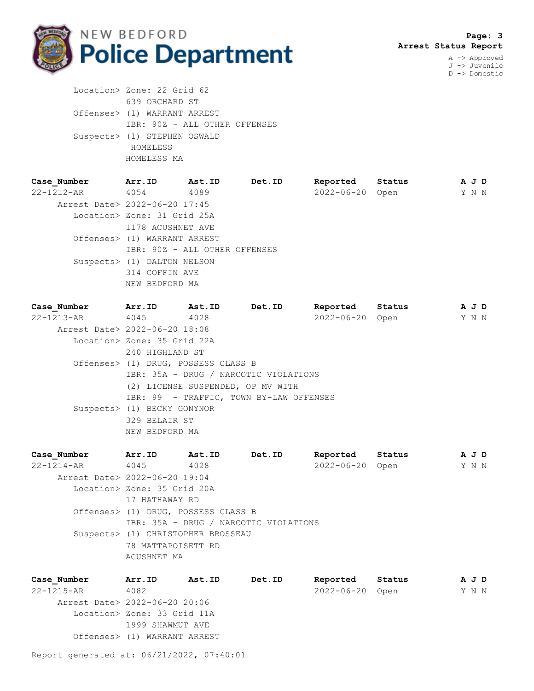

J -> Juvenile D -> Domestic

 Location> Zone: 22 Grid 62 639 ORCHARD ST Offenses> (1) WARRANT ARREST IBR: 90Z - ALL OTHER OFFENSES Suspects> (1) STEPHEN OSWALD HOMELESS HOMELESS MA

| Case Number                   | Arr.ID                        | <b>Ast.ID</b> | Det.ID | Reported         | Status | A J D |  |
|-------------------------------|-------------------------------|---------------|--------|------------------|--------|-------|--|
| 22-1212-AR                    | 4054                          | 4089          |        | $2022 - 06 - 20$ | Open   | Y N N |  |
| Arrest Date> 2022-06-20 17:45 |                               |               |        |                  |        |       |  |
|                               | Location> Zone: 31 Grid 25A   |               |        |                  |        |       |  |
|                               | 1178 ACUSHNET AVE             |               |        |                  |        |       |  |
|                               | Offenses> (1) WARRANT ARREST  |               |        |                  |        |       |  |
|                               | IBR: 90Z - ALL OTHER OFFENSES |               |        |                  |        |       |  |
|                               | Suspects> (1) DALTON NELSON   |               |        |                  |        |       |  |
|                               | 314 COFFIN AVE                |               |        |                  |        |       |  |
|                               | NEW BEDFORD MA                |               |        |                  |        |       |  |
|                               |                               |               |        |                  |        |       |  |

| Case Number                   | Arr.ID                      | Ast.ID                              | Det.ID                                  | Reported   | Status | A J D |  |
|-------------------------------|-----------------------------|-------------------------------------|-----------------------------------------|------------|--------|-------|--|
| 22-1213-AR 4045               |                             | 4028                                |                                         | 2022-06-20 | Open   | Y N N |  |
| Arrest Date> 2022-06-20 18:08 |                             |                                     |                                         |            |        |       |  |
|                               | Location> Zone: 35 Grid 22A |                                     |                                         |            |        |       |  |
|                               | 240 HIGHLAND ST             |                                     |                                         |            |        |       |  |
|                               |                             | Offenses> (1) DRUG, POSSESS CLASS B |                                         |            |        |       |  |
|                               |                             |                                     | IBR: 35A - DRUG / NARCOTIC VIOLATIONS   |            |        |       |  |
|                               |                             |                                     | (2) LICENSE SUSPENDED, OP MV WITH       |            |        |       |  |
|                               |                             |                                     | IBR: 99 - TRAFFIC, TOWN BY-LAW OFFENSES |            |        |       |  |
|                               | Suspects> (1) BECKY GONYNOR |                                     |                                         |            |        |       |  |
|                               | 329 BELAIR ST               |                                     |                                         |            |        |       |  |
|                               | NEW BEDFORD MA              |                                     |                                         |            |        |       |  |
|                               |                             |                                     |                                         |            |        |       |  |

| Case Number                   | Arr.ID                      | Ast.ID                              | Det.ID                                | Reported         | Status | A J D |  |
|-------------------------------|-----------------------------|-------------------------------------|---------------------------------------|------------------|--------|-------|--|
| $22 - 1214 - AR$              | 4045                        | 4028                                |                                       | $2022 - 06 - 20$ | Open   | Y N N |  |
| Arrest Date> 2022-06-20 19:04 |                             |                                     |                                       |                  |        |       |  |
|                               | Location> Zone: 35 Grid 20A |                                     |                                       |                  |        |       |  |
|                               | 17 HATHAWAY RD              |                                     |                                       |                  |        |       |  |
|                               |                             | Offenses> (1) DRUG, POSSESS CLASS B |                                       |                  |        |       |  |
|                               |                             |                                     | IBR: 35A - DRUG / NARCOTIC VIOLATIONS |                  |        |       |  |
|                               |                             | Suspects> (1) CHRISTOPHER BROSSEAU  |                                       |                  |        |       |  |
|                               | 78 MATTAPOISETT RD          |                                     |                                       |                  |        |       |  |
|                               | ACUSHNET MA                 |                                     |                                       |                  |        |       |  |
|                               |                             |                                     |                                       |                  |        |       |  |

**Case\_Number Arr.ID Ast.ID Det.ID Reported Status A J D** Case\_Number Arr.ID Ast.ID Det.ID Reported Status AJD<br>22-1215-AR 4082 2022-06-20 Open Y N N Arrest Date> 2022-06-20 20:06 Location> Zone: 33 Grid 11A 1999 SHAWMUT AVE Offenses> (1) WARRANT ARREST

Report generated at: 06/21/2022, 07:40:01